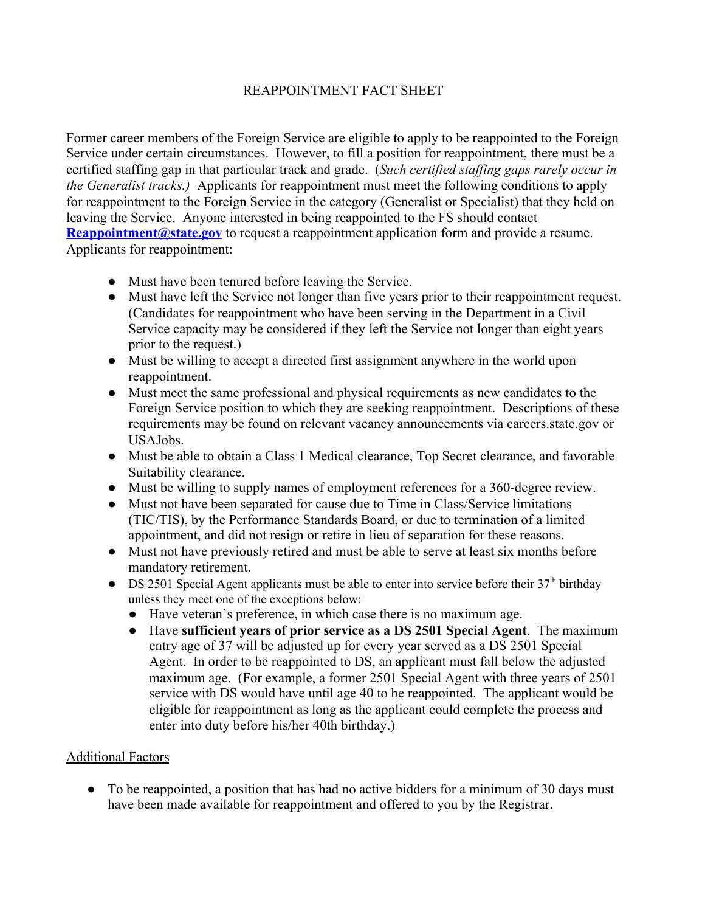## REAPPOINTMENT FACT SHEET

Former career members of the Foreign Service are eligible to apply to be reappointed to the Foreign Service under certain circumstances. However, to fill a position for reappointment, there must be a certified staffing gap in that particular track and grade. (*Such certified staffing gaps rarely occur in the Generalist tracks.)* Applicants for reappointment must meet the following conditions to apply for reappointment to the Foreign Service in the category (Generalist or Specialist) that they held on leaving the Service. Anyone interested in being reappointed to the FS should contact **[Reappointment@state.gov](mailto:Reappointment@state.gov)** to request a reappointment application form and provide a resume. Applicants for reappointment:

- Must have been tenured before leaving the Service.
- Must have left the Service not longer than five years prior to their reappointment request. (Candidates for reappointment who have been serving in the Department in a Civil Service capacity may be considered if they left the Service not longer than eight years prior to the request.)
- Must be willing to accept a directed first assignment anywhere in the world upon reappointment.
- Must meet the same professional and physical requirements as new candidates to the Foreign Service position to which they are seeking reappointment. Descriptions of these requirements may be found on relevant vacancy announcements via careers.state.gov or USAJobs.
- Must be able to obtain a Class 1 Medical clearance, Top Secret clearance, and favorable Suitability clearance.
- Must be willing to supply names of employment references for a 360-degree review.
- Must not have been separated for cause due to Time in Class/Service limitations (TIC/TIS), by the Performance Standards Board, or due to termination of a limited appointment, and did not resign or retire in lieu of separation for these reasons.
- Must not have previously retired and must be able to serve at least six months before mandatory retirement.
- DS 2501 Special Agent applicants must be able to enter into service before their 37<sup>th</sup> birthday unless they meet one of the exceptions below:
	- Have veteran's preference, in which case there is no maximum age.
	- Have **sufficient years of prior service as a DS 2501 Special Agent**. The maximum entry age of 37 will be adjusted up for every year served as a DS 2501 Special Agent. In order to be reappointed to DS, an applicant must fall below the adjusted maximum age. (For example, a former 2501 Special Agent with three years of 2501 service with DS would have until age 40 to be reappointed. The applicant would be eligible for reappointment as long as the applicant could complete the process and enter into duty before his/her 40th birthday.)

## Additional Factors

• To be reappointed, a position that has had no active bidders for a minimum of 30 days must have been made available for reappointment and offered to you by the Registrar.